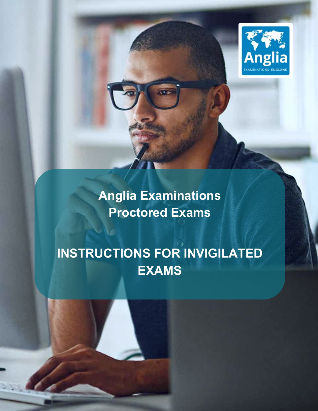

**Anglia Examinations Proctored Exams**

## **INSTRUCTIONS FOR INVIGILATED EXAMS**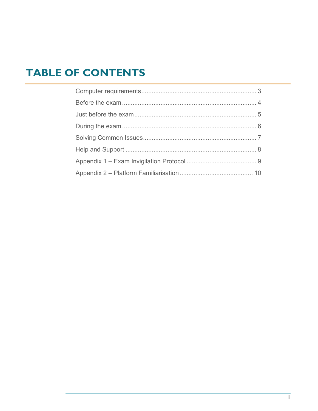### **TABLE OF CONTENTS**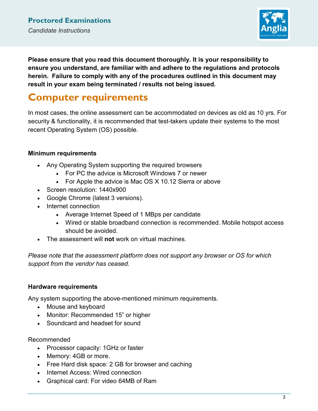

**Please ensure that you read this document thoroughly. It is your responsibility to ensure you understand, are familiar with and adhere to the regulations and protocols herein. Failure to comply with any of the procedures outlined in this document may result in your exam being terminated / results not being issued.**

### <span id="page-2-0"></span>**Computer requirements**

In most cases, the online assessment can be accommodated on devices as old as 10 yrs. For security & functionality, it is recommended that test-takers update their systems to the most recent Operating System (OS) possible.

### **Minimum requirements**

- Any Operating System supporting the required browsers
	- For PC the advice is Microsoft Windows 7 or newer
	- For Apple the advice is Mac OS X 10.12 Sierra or above
- Screen resolution: 1440x900
- Google Chrome (latest 3 versions).
- Internet connection
	- Average Internet Speed of 1 MBps per candidate
	- Wired or stable broadband connection is recommended. Mobile hotspot access should be avoided.
- The assessment will **not** work on virtual machines.

*Please note that the assessment platform does not support any browser or OS for which support from the vendor has ceased.*

### **Hardware requirements**

Any system supporting the above-mentioned minimum requirements.

- Mouse and keyboard
- Monitor: Recommended 15" or higher
- Soundcard and headset for sound

Recommended

- Processor capacity: 1GHz or faster
- Memory: 4GB or more.
- Free Hard disk space: 2 GB for browser and caching
- Internet Access: Wired connection
- Graphical card: For video 64MB of Ram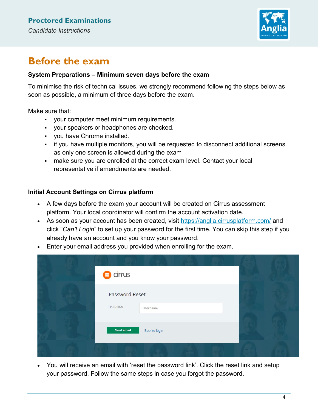

### <span id="page-3-0"></span>**Before the exam**

#### **System Preparations – Minimum seven days before the exam**

To minimise the risk of technical issues, we strongly recommend following the steps below as soon as possible, a minimum of three days before the exam.

Make sure that:

- your computer meet minimum requirements.
- your speakers or headphones are checked.
- you have Chrome installed.
- if you have multiple monitors, you will be requested to disconnect additional screens as only one screen is allowed during the exam
- make sure you are enrolled at the correct exam level. Contact your local representative if amendments are needed.

#### **Initial Account Settings on Cirrus platform**

- A few days before the exam your account will be created on Cirrus assessment platform. Your local coordinator will confirm the account activation date.
- As soon as your account has been created, visit<https://anglia.cirrusplatform.com/> and click "*Can't Login*" to set up your password for the first time. You can skip this step if you already have an account and you know your password.
- Enter your email address you provided when enrolling for the exam.

| $\bullet$ cirrus                   |  |
|------------------------------------|--|
| Password Reset                     |  |
| <b>USERNAME</b><br>Username        |  |
| <b>Send email</b><br>Back to login |  |
|                                    |  |

• You will receive an email with 'reset the password link'. Click the reset link and setup your password. Follow the same steps in case you forgot the password.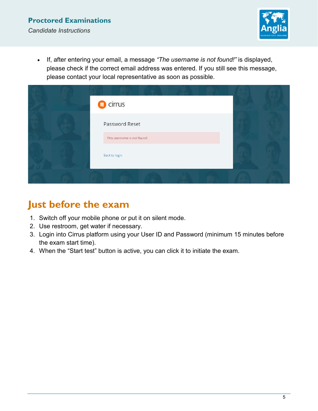

• If, after entering your email, a message *"The username is not found!"* is displayed, please check if the correct email address was entered. If you still see this message, please contact your local representative as soon as possible.

| $\bullet$ cirrus            |  |
|-----------------------------|--|
| Password Reset              |  |
| This username is not found! |  |
| Back to login               |  |
|                             |  |

### <span id="page-4-0"></span>**Just before the exam**

- 1. Switch off your mobile phone or put it on silent mode.
- 2. Use restroom, get water if necessary.
- 3. Login into Cirrus platform using your User ID and Password (minimum 15 minutes before the exam start time).
- 4. When the "Start test" button is active, you can click it to initiate the exam.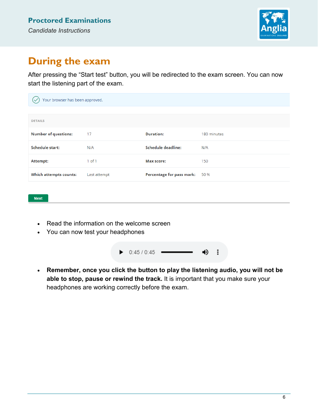

### <span id="page-5-0"></span>**During the exam**

**Next** 

After pressing the "Start test" button, you will be redirected to the exam screen. You can now start the listening part of the exam.

| Your browser has been approved. |              |                           |             |
|---------------------------------|--------------|---------------------------|-------------|
|                                 |              |                           |             |
| <b>DETAILS</b>                  |              |                           |             |
| <b>Number of questions:</b>     | 17           | <b>Duration:</b>          | 180 minutes |
| <b>Schedule start:</b>          | N/A          | Schedule deadline:        | N/A         |
| Attempt:                        | $1$ of $1$   | <b>Max score:</b>         | 150         |
| <b>Which attempts counts:</b>   | Last attempt | Percentage for pass mark: | 50 %        |
|                                 |              |                           |             |

• Read the information on the welcome screen

• You can now test your headphones

 $\bullet$  0:45 / 0:45 · ৰ) ÷

• **Remember, once you click the button to play the listening audio, you will not be able to stop, pause or rewind the track.** It is important that you make sure your headphones are working correctly before the exam.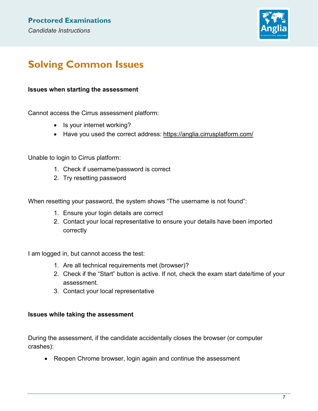

### <span id="page-6-0"></span>**Solving Common Issues**

#### **Issues when starting the assessment**

Cannot access the Cirrus assessment platform:

- Is your internet working?
- Have you used the correct address: <https://anglia.cirrusplatform.com/>

Unable to login to Cirrus platform:

- 1. Check if username/password is correct
- 2. Try resetting password

When resetting your password, the system shows "The username is not found":

- 1. Ensure your login details are correct
- 2. Contact your local representative to ensure your details have been imported correctly

I am logged in, but cannot access the test:

- 1. Are all technical requirements met (browser)?
- 2. Check if the "Start" button is active. If not, check the exam start date/time of your assessment.
- 3. Contact your local representative

#### **Issues while taking the assessment**

During the assessment, if the candidate accidentally closes the browser (or computer crashes):

• Reopen Chrome browser, login again and continue the assessment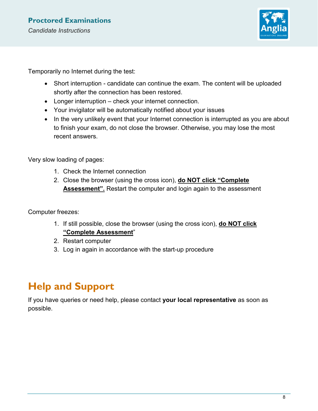

Temporarily no Internet during the test:

- Short interruption candidate can continue the exam. The content will be uploaded shortly after the connection has been restored.
- Longer interruption check your internet connection.
- Your invigilator will be automatically notified about your issues
- In the very unlikely event that your Internet connection is interrupted as you are about to finish your exam, do not close the browser. Otherwise, you may lose the most recent answers.

Very slow loading of pages:

- 1. Check the Internet connection
- 2. Close the browser (using the cross icon), **do NOT click "Complete Assessment".** Restart the computer and login again to the assessment

Computer freezes:

- 1. If still possible, close the browser (using the cross icon), **do NOT click "Complete Assessment**"
- 2. Restart computer
- 3. Log in again in accordance with the start-up procedure

### <span id="page-7-0"></span>**Help and Support**

If you have queries or need help, please contact **your local representative** as soon as possible.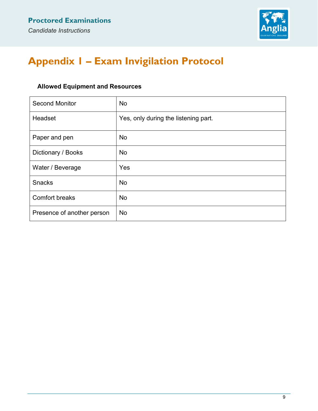

### <span id="page-8-0"></span>**Appendix 1 – Exam Invigilation Protocol**

### **Allowed Equipment and Resources**

| <b>Second Monitor</b>      | <b>No</b>                            |
|----------------------------|--------------------------------------|
| Headset                    | Yes, only during the listening part. |
| Paper and pen              | No                                   |
| Dictionary / Books         | <b>No</b>                            |
| Water / Beverage           | Yes                                  |
| <b>Snacks</b>              | <b>No</b>                            |
| <b>Comfort breaks</b>      | <b>No</b>                            |
| Presence of another person | <b>No</b>                            |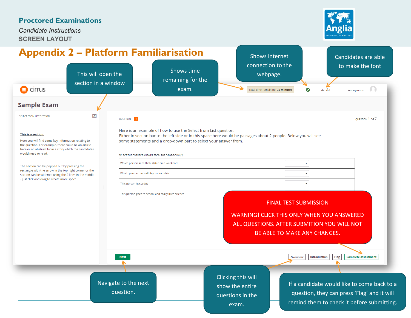*Candidate Instructions* **SCREEN LAYOUT**



Candidates are able

Shows internet

# **Appendix 2 – Platform Familiarisation**

<span id="page-9-0"></span>

| $\bigcirc$ cirrus                                                                                                                                                                                                                                                                                                                                                                                                                                                                             | This will open the<br>section in a window                                                                                  | Shows time<br>remaining for the<br>exam.                                                                                                                                                                                                                                                                    | connection to the<br>webpage.<br>Total time remaining: 30 minutes                                | ⊗<br>$A - A +$                                                                                         | to make the font<br>Anonymous                                                                                                            |
|-----------------------------------------------------------------------------------------------------------------------------------------------------------------------------------------------------------------------------------------------------------------------------------------------------------------------------------------------------------------------------------------------------------------------------------------------------------------------------------------------|----------------------------------------------------------------------------------------------------------------------------|-------------------------------------------------------------------------------------------------------------------------------------------------------------------------------------------------------------------------------------------------------------------------------------------------------------|--------------------------------------------------------------------------------------------------|--------------------------------------------------------------------------------------------------------|------------------------------------------------------------------------------------------------------------------------------------------|
| <b>Sample Exam</b>                                                                                                                                                                                                                                                                                                                                                                                                                                                                            |                                                                                                                            |                                                                                                                                                                                                                                                                                                             |                                                                                                  |                                                                                                        |                                                                                                                                          |
| $\overline{\mathbf{z}}$<br>SELECT FROM LIST SECTION<br>This is a section.<br>Here you will find some key information relating to<br>the question. For example, there could be an article<br>here or an abstract from a story which the candidates<br>would need to read.<br>The section can be popped out by pressing the<br>rectangle with the arrow in the top right corner or the<br>section can be widened using the 2 lines in the middle<br>- just click and drag to create more space. | QUESTION 1<br>Which person sees their sister on a weekend<br>Which person has a dining room table<br>This person has a dog | Here is an example of how to use the Select from List question.<br>Either in section bar to the left side or in this space here would be passages about 2 people. Below you will see<br>some statements and a drop-down part to select your answer from.<br>SELECT THE CORRECT ANSWER FROM THE DROP-DOWN(S) |                                                                                                  |                                                                                                        | QUESTION 1 OF 7                                                                                                                          |
|                                                                                                                                                                                                                                                                                                                                                                                                                                                                                               | <b>Next</b>                                                                                                                | This person goes to school and really likes science                                                                                                                                                                                                                                                         | <b>WARNING! CLICK THIS ONLY WHEN YOU ANSWERED</b><br>ALL QUESTIONS. AFTER SUBMITION YOU WILL NOT | <b>FINAL TEST SUBMISSION</b><br>BE ABLE TO MAKE ANY CHANGES.<br><b>Introduction</b><br><b>Overview</b> | Flag<br><b>Complete assessment</b>                                                                                                       |
|                                                                                                                                                                                                                                                                                                                                                                                                                                                                                               | Navigate to the next<br>question.                                                                                          |                                                                                                                                                                                                                                                                                                             | Clicking this will<br>show the entire<br>questions in the<br>exam.                               |                                                                                                        | If a candidate would like to come back to a<br>question, they can press 'Flag' and it will<br>remind them to check it before submitting. |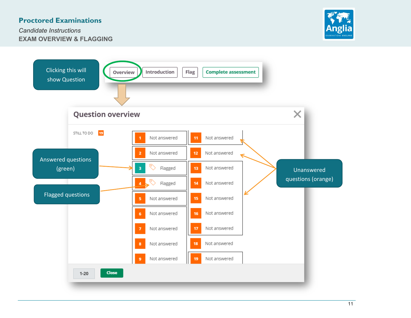*Candidate Instructions* **EXAM OVERVIEW & FLAGGING**



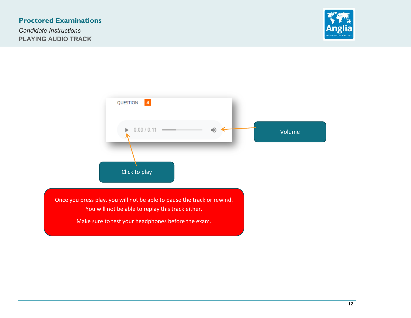*Candidate Instructions* **PLAYING AUDIO TRACK**





Once you press play, you will not be able to pause the track or rewind. You will not be able to replay this track either.

Make sure to test your headphones before the exam.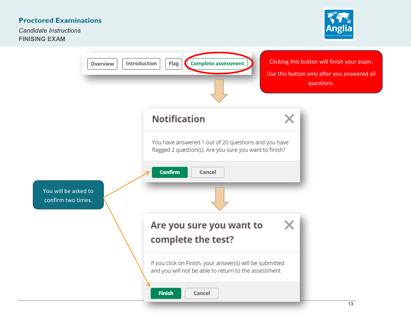*Candidate Instructions* **FINISING EXAM**



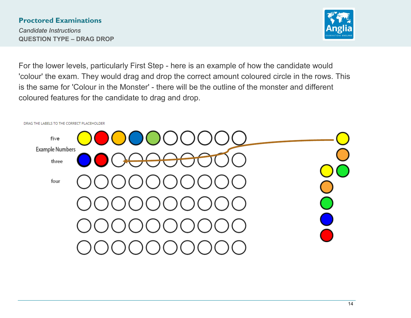*Candidate Instructions* **QUESTION TYPE – DRAG DROP**



For the lower levels, particularly First Step - here is an example of how the candidate would 'colour' the exam. They would drag and drop the correct amount coloured circle in the rows. This is the same for 'Colour in the Monster' - there will be the outline of the monster and different coloured features for the candidate to drag and drop.

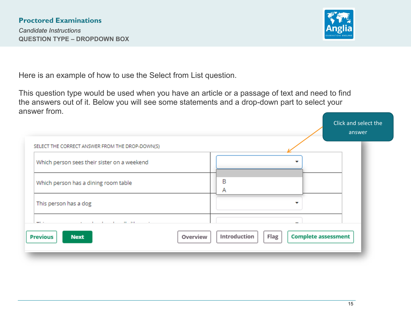*Candidate Instructions* **QUESTION TYPE – DROPDOWN BOX**

![](_page_14_Picture_2.jpeg)

Here is an example of how to use the Select from List question.

This question type would be used when you have an article or a passage of text and need to find the answers out of it. Below you will see some statements and a drop-down part to select your answer from.

|                                                      |          |              |      | Click and select the<br>answer |
|------------------------------------------------------|----------|--------------|------|--------------------------------|
| SELECT THE CORRECT ANSWER FROM THE DROP-DOWN(S)      |          |              |      |                                |
| Which person sees their sister on a weekend          |          |              |      |                                |
| Which person has a dining room table                 |          | B<br>Α       |      |                                |
| This person has a dog                                |          |              |      |                                |
| the contract of the contract of<br>$11 - 11$<br>$-1$ |          |              |      |                                |
| <b>Previous</b><br><b>Next</b>                       | Overview | Introduction | Flag | <b>Complete assessment</b>     |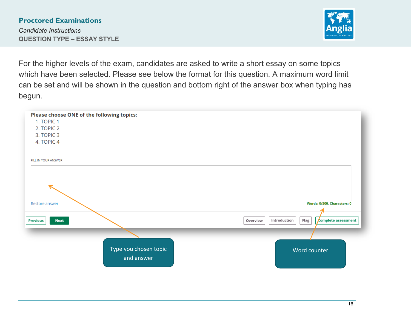*Candidate Instructions* **QUESTION TYPE – ESSAY STYLE**

![](_page_15_Picture_2.jpeg)

For the higher levels of the exam, candidates are asked to write a short essay on some topics which have been selected. Please see below the format for this question. A maximum word limit can be set and will be shown in the question and bottom right of the answer box when typing has begun.

| Please choose ONE of the following topics:<br>1. TOPIC 1<br>2. TOPIC 2<br>3. TOPIC 3<br>4. TOPIC 4 |                                                         |
|----------------------------------------------------------------------------------------------------|---------------------------------------------------------|
| FILL IN YOUR ANSWER                                                                                |                                                         |
| Restore answer                                                                                     | Words: 0/500, Characters: 0                             |
| <b>Previous</b><br><b>Next</b>                                                                     | complete assessment<br>Introduction<br>Flag<br>Overview |
| Type you chosen topic<br>and answer                                                                | Word counter                                            |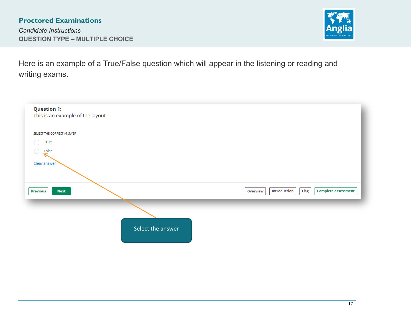*Candidate Instructions* **QUESTION TYPE – MULTIPLE CHOICE**

![](_page_16_Picture_2.jpeg)

Here is an example of a True/False question which will appear in the listening or reading and writing exams.

| <b>Question 1:</b>               |                                                                |
|----------------------------------|----------------------------------------------------------------|
| This is an example of the layout |                                                                |
| SELECT THE CORRECT ANSWER        |                                                                |
| True                             |                                                                |
| False                            |                                                                |
| Clear answer                     |                                                                |
|                                  |                                                                |
| <b>Previous</b><br><b>Next</b>   | Introduction<br>Flag<br><b>Complete assessment</b><br>Overview |
|                                  |                                                                |
|                                  | Select the answer                                              |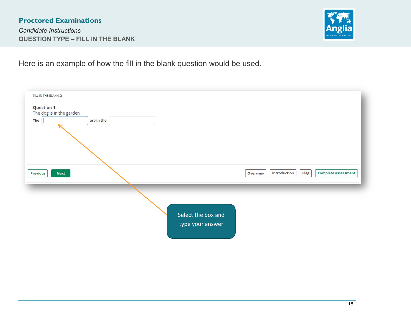*Candidate Instructions* **QUESTION TYPE – FILL IN THE BLANK**

![](_page_17_Picture_2.jpeg)

Here is an example of how the fill in the blank question would be used.

![](_page_17_Figure_4.jpeg)